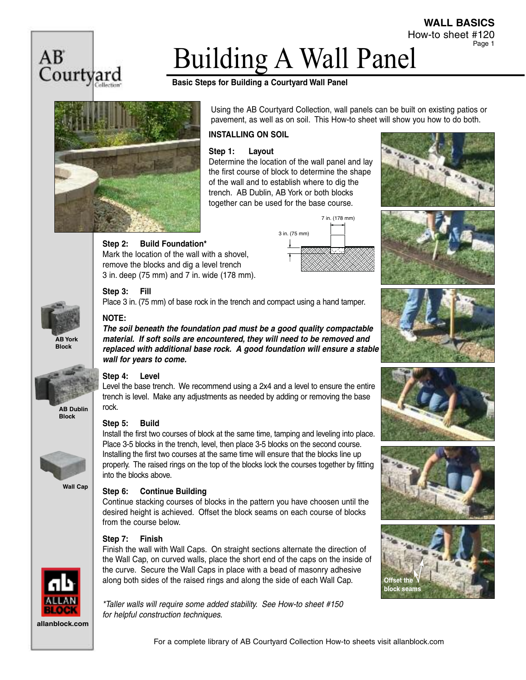

# Building A Wall Panel

### **Basic Steps for Building a Courtyard Wall Panel**



Using the AB Courtyard Collection, wall panels can be built on existing patios or pavement, as well as on soil. This How-to sheet will show you how to do both.

#### **INSTALLING ON SOIL**

#### **Step 1: Layout**

Determine the location of the wall panel and lay the first course of block to determine the shape of the wall and to establish where to dig the trench. AB Dublin, AB York or both blocks together can be used for the base course.





How-to sheet #120

**WALL BASICS**

Page 1











#### **Step 2: Build Foundation\***

Mark the location of the wall with a shovel, remove the blocks and dig a level trench 3 in. deep (75 mm) and 7 in. wide (178 mm).

#### **Step 3: Fill**

Place 3 in. (75 mm) of base rock in the trench and compact using a hand tamper.

#### **NOTE:**

*The soil beneath the foundation pad must be a good quality compactable material. If soft soils are encountered, they will need to be removed and replaced with additional base rock. A good foundation will ensure a stable wall for years to come.*



**Block**



**Wall Cap**

**allanblock.com**

### **Step 4: Level**

Level the base trench. We recommend using a 2x4 and a level to ensure the entire trench is level. Make any adjustments as needed by adding or removing the base rock.

#### **Step 5: Build**

Install the first two courses of block at the same time, tamping and leveling into place. Place 3-5 blocks in the trench, level, then place 3-5 blocks on the second course. Installing the first two courses at the same time will ensure that the blocks line up properly. The raised rings on the top of the blocks lock the courses together by fitting into the blocks above.

#### **Step 6: Continue Building**

Continue stacking courses of blocks in the pattern you have choosen until the desired height is achieved. Offset the block seams on each course of blocks from the course below.

#### **Step 7: Finish**

Finish the wall with Wall Caps. On straight sections alternate the direction of the Wall Cap, on curved walls, place the short end of the caps on the inside of the curve. Secure the Wall Caps in place with a bead of masonry adhesive along both sides of the raised rings and along the side of each Wall Cap.

*\*Taller walls will require some added stability. See How-to sheet #150 for helpful construction techniques.*